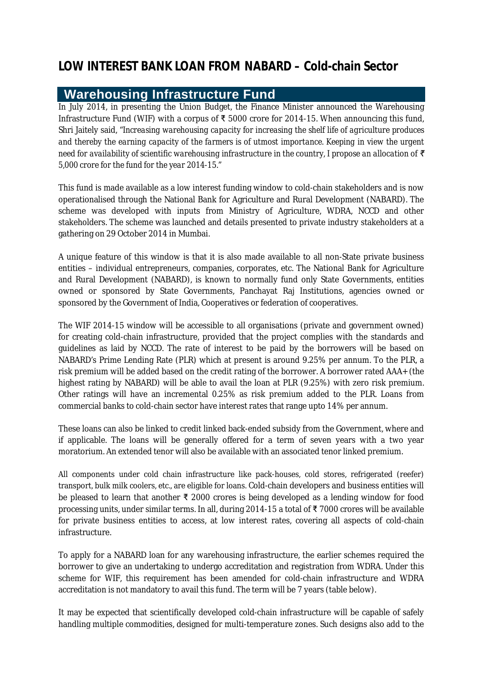## **Warehousing Infrastructure Fund**

In July 2014, in presenting the Union Budget, the Finance Minister announced the Warehousing Infrastructure Fund (WIF) with a corpus of  $\bar{x}$  5000 crore for 2014-15. When announcing this fund, Shri Jaitely said, "*Increasing warehousing capacity for increasing the shelf life of agriculture produces and thereby the earning capacity of the farmers is of utmost importance. Keeping in view the urgent need for availability of scientific warehousing infrastructure in the country, I propose an allocation of* ₹ *5,000 crore for the fund for the year 2014-15.*"

This fund is made available as a low interest funding window to cold-chain stakeholders and is now operationalised through the National Bank for Agriculture and Rural Development (NABARD). The scheme was developed with inputs from Ministry of Agriculture, WDRA, NCCD and other stakeholders. The scheme was launched and details presented to private industry stakeholders at a gathering on 29 October 2014 in Mumbai.

A unique feature of this window is that it is also made available to all non-State private business entities – individual entrepreneurs, companies, corporates, etc. The National Bank for Agriculture and Rural Development (NABARD), is known to normally fund only State Governments, entities owned or sponsored by State Governments, Panchayat Raj Institutions, agencies owned or sponsored by the Government of India, Cooperatives or federation of cooperatives.

The WIF 2014-15 window will be accessible to all organisations (private and government owned) for creating cold-chain infrastructure, provided that the project complies with the standards and guidelines as laid by NCCD. The rate of interest to be paid by the borrowers will be based on NABARD's Prime Lending Rate (PLR) which at present is around 9.25% per annum. To the PLR, a risk premium will be added based on the credit rating of the borrower. A borrower rated AAA+ (the highest rating by NABARD) will be able to avail the loan at PLR (9.25%) with zero risk premium. Other ratings will have an incremental 0.25% as risk premium added to the PLR. Loans from commercial banks to cold-chain sector have interest rates that range upto 14% per annum.

These loans can also be linked to credit linked back-ended subsidy from the Government, where and if applicable. The loans will be generally offered for a term of seven years with a two year moratorium. An extended tenor will also be available with an associated tenor linked premium.

All components under cold chain infrastructure like pack-houses, cold stores, refrigerated (reefer) transport, bulk milk coolers, etc., are eligible for loans. Cold-chain developers and business entities will be pleased to learn that another ₹ 2000 crores is being developed as a lending window for food processing units, under similar terms. In all, during 2014-15 a total of ₹ 7000 crores will be available for private business entities to access, at low interest rates, covering all aspects of cold-chain infrastructure.

To apply for a NABARD loan for any warehousing infrastructure, the earlier schemes required the borrower to give an undertaking to undergo accreditation and registration from WDRA. Under this scheme for WIF, this requirement has been amended for cold-chain infrastructure and WDRA accreditation is not mandatory to avail this fund. The term will be 7 years (table below).

It may be expected that scientifically developed cold-chain infrastructure will be capable of safely handling multiple commodities, designed for multi-temperature zones. Such designs also add to the